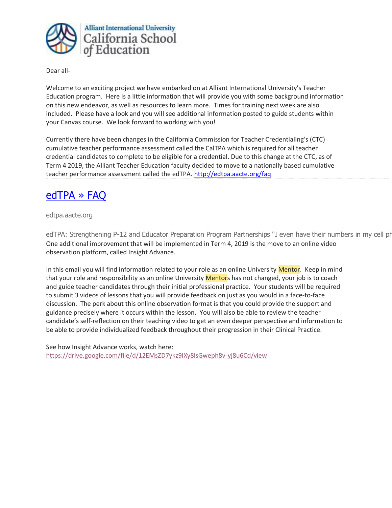

Dear all-

Welcome to an exciting project we have embarked on at Alliant International University's Teacher Education program. Here is a little information that will provide you with some background information on this new endeavor, as well as resources to learn more. Times for training next week are also included. Please have a look and you will see additional information posted to guide students within your Canvas course. We look forward to working with you!

Currently there have been changes in the California Commission for Teacher Credentialing's (CTC) cumulative teacher performance assessment called the CalTPA which is required for all teacher credential candidates to complete to be eligible for a credential. Due to this change at the CTC, as of Term 4 2019, the Alliant Teacher Education faculty decided to move to a nationally based cumulative teacher performance assessment called the edTPA. <http://edtpa.aacte.org/faq>

# [edTPA » FAQ](http://edtpa.aacte.org/faq)

edtpa.aacte.org

edTPA: Strengthening P-12 and Educator Preparation Program Partnerships "I even have their numbers in my cell phone so One additional improvement that will be implemented in Term 4, 2019 is the move to an online video observation platform, called Insight Advance.

In this email you will find information related to your role as an online University Mentor. Keep in mind that your role and responsibility as an online University Mentors has not changed, your job is to coach and guide teacher candidates through their initial professional practice. Your students will be required to submit 3 videos of lessons that you will provide feedback on just as you would in a face-to-face discussion. The perk about this online observation format is that you could provide the support and guidance precisely where it occurs within the lesson. You will also be able to review the teacher candidate's self-reflection on their teaching video to get an even deeper perspective and information to be able to provide individualized feedback throughout their progression in their Clinical Practice.

See how Insight Advance works, watch here: <https://drive.google.com/file/d/12EMsZD7ykz9IXy8lsGweph8v-yj8u6Cd/view>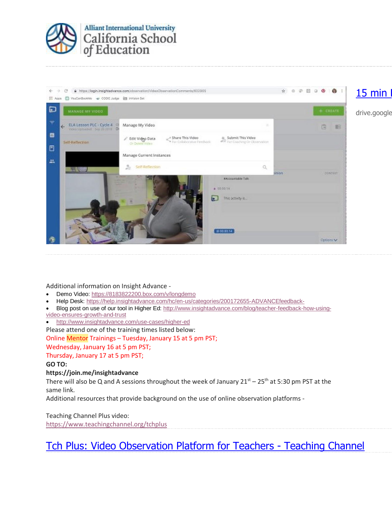



Additional information on Insight Advance -

- Demo Video: [https://8183822200.box.com/v/longdemo](https://console.ebsta.com/linktracking/track.aspx?trackid=18167c29-2130-426a-a0e9-2f09e69d954b-1509021359131&linktrackingid=0&linkuri=https%3A%2F%2F8183822200.box.com%2Fv%2Flongdemo)
- Help Desk: [https://help.insightadvance.com/hc/en-us/categories/200172655-ADVANCEfeedback-](https://console.ebsta.com/linktracking/track.aspx?trackid=18167c29-2130-426a-a0e9-2f09e69d954b-1509021359131&linktrackingid=1&linkuri=https%3A%2F%2Fhelp.insightadvance.com%2Fhc%2Fen-us%2Fcategories%2F200172655-ADVANCEfeedback-)
- Blog post on use of our tool in Higher Ed: [http://www.insightadvance.com/blog/teacher-feedback-how-using](https://console.ebsta.com/linktracking/track.aspx?trackid=18167c29-2130-426a-a0e9-2f09e69d954b-1509021359131&linktrackingid=2&linkuri=http%3A%2F%2Fwww.insightadvance.com%2Fblog%2Fteacher-feedback-how-using-video-ensures-growth-and-trust)[video-ensures-growth-and-trust](https://console.ebsta.com/linktracking/track.aspx?trackid=18167c29-2130-426a-a0e9-2f09e69d954b-1509021359131&linktrackingid=2&linkuri=http%3A%2F%2Fwww.insightadvance.com%2Fblog%2Fteacher-feedback-how-using-video-ensures-growth-and-trust)
- [http://www.insightadvance.com/use-cases/higher-ed](https://console.ebsta.com/linktracking/track.aspx?trackid=18167c29-2130-426a-a0e9-2f09e69d954b-1509021359131&linktrackingid=3&linkuri=http%3A%2F%2Fwww.insightadvance.com%2Fuse-cases%2Fhigher-ed)

Please attend one of the training times listed below:

### Online Mentor Trainings – Tuesday, January 15 at 5 pm PST;

Wednesday, January 16 at 5 pm PST;

Thursday, January 17 at 5 pm PST;

### **GO TO:**

## **https://join.me/insightadvance**

There will also be Q and A sessions throughout the week of January  $21^{st}$  –  $25^{th}$  at 5:30 pm PST at the same link.

Additional resources that provide background on the use of online observation platforms -

Teaching Channel Plus video: <https://www.teachingchannel.org/tchplus>

[Tch Plus: Video Observation Platform for Teachers -](https://www.teachingchannel.org/tchplus) Teaching Channel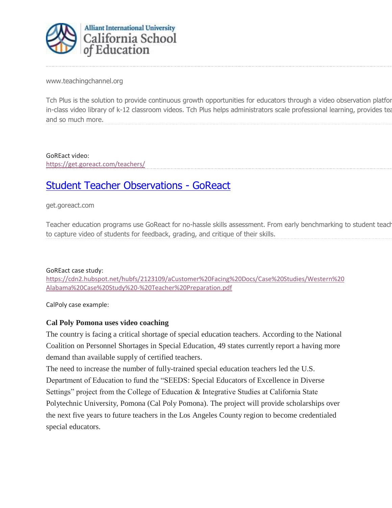

www.teachingchannel.org

Tch Plus is the solution to provide continuous growth opportunities for educators through a video observation platfor in-class video library of k-12 classroom videos. Tch Plus helps administrators scale professional learning, provides tea and so much more.

GoREact video:

<https://get.goreact.com/teachers/>

# [Student Teacher Observations -](https://get.goreact.com/teachers/) GoReact

# get.goreact.com

Teacher education programs use GoReact for no-hassle skills assessment. From early benchmarking to student teach to capture video of students for feedback, grading, and critique of their skills.

## GoREact case study:

[https://cdn2.hubspot.net/hubfs/2123109/aCustomer%20Facing%20Docs/Case%20Studies/Western%20](https://cdn2.hubspot.net/hubfs/2123109/aCustomer%20Facing%20Docs/Case%20Studies/Western%20Alabama%20Case%20Study%20-%20Teacher%20Preparation.pdf) [Alabama%20Case%20Study%20-%20Teacher%20Preparation.pdf](https://cdn2.hubspot.net/hubfs/2123109/aCustomer%20Facing%20Docs/Case%20Studies/Western%20Alabama%20Case%20Study%20-%20Teacher%20Preparation.pdf)

CalPoly case example:

# **Cal Poly Pomona uses video coaching**

The country is facing a critical shortage of special education teachers. According to the National Coalition on Personnel Shortages in Special Education, 49 states currently report a having more demand than available supply of certified teachers.

The need to increase the number of fully-trained special education teachers led the U.S. Department of Education to fund the "SEEDS: Special Educators of Excellence in Diverse Settings" project from the College of Education & Integrative Studies at California State Polytechnic University, Pomona (Cal Poly Pomona). The project will provide scholarships over the next five years to future teachers in the Los Angeles County region to become credentialed special educators.